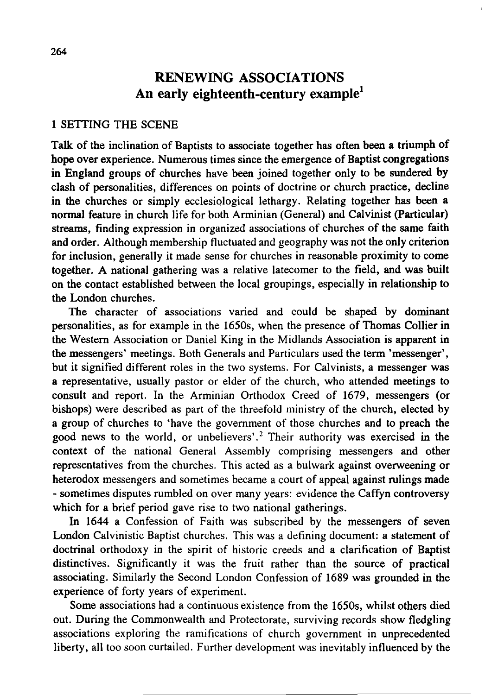# **RENEWING ASSOCIATIONS An early eighteenth-century example<sup>l</sup>**

#### 1 SETTING THE SCENE

Talk of the inclination of Baptists to associate together has often been a triumph of hope over experience. Numerous times since the emergence of Baptist congregations in England groups of churches have been joined together only to be sundered by clash of personalities, differences on points of doctrine or church practice, decline in the churches or simply ecclesiological lethargy. Relating together has been a normal feature in church life for both Arminian (General) and Calvinist (Particular) streams, finding expression in organized associations of churches of the same faith and order. Although membership fluctuated and geography was not the only criterion for inclusion, generally it made sense for churches in reasonable proximity to come together. A national gathering was a relative latecomer to the field, and was built on the contact established between the local groupings, especially in relationship to the London churches.

The character of associations varied and could be shaped by dominant personalities, as for example in the 1650s, when the presence of Thomas Collier in the Western Association or Daniel King in the Midlands Association is apparent in the messengers' meetings. Both Generals and Particulars used the term 'messenger', but it signified different roles in the two systems. For Calvinists, a messenger was a representative, usually pastor or elder of the church, who attended meetings to consult and report. In the Arminian Orthodox Creed of 1679, messengers (or bishops) were described as part of the threefold ministry of the church, elected by a group of churches to 'have the government of those churches and to preach the good news to the world, or unbelievers'.<sup>2</sup> Their authority was exercised in the context of the national General Assembly comprising messengers and other representatives from the churches. This acted as a bulwark against overweening or heterodox messengers and sometimes became a court of appeal against rulings made - sometimes disputes rumbled on over many years: evidence the Caffyn controversy which for a brief period gave rise to two national gatherings.

In 1644 a Confession of Faith was subscribed by the messengers of seven London Calvinistic Baptist churches. This was a defining document: a statement of doctrinal orthodoxy in the spirit of historic creeds and a clarification of Baptist distinctives. Significantly it was the fruit rather than the source of practical associating. Similarly the Second London Confession of 1689 was grounded in the experience of forty years of experiment.

Some associations had a continuous existence from the 1650s, whilst others died out. During the Commonwealth and Protectorate, surviving records show fledgling associations exploring the ramifications of church government in unprecedented liberty, all too soon curtailed. Further development was inevitably influenced by the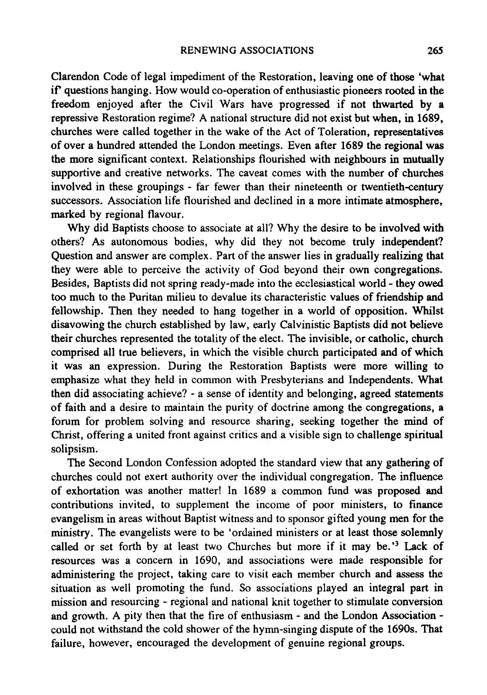Clarendon Code of legal impediment of the Restoration, leaving one of those 'what ir questions hanging. How would co-operation of enthusiastic pioneers rooted in the freedom enjoyed after the Civil Wars have progressed if not thwarted by a repressive Restoration regime? A national structure did not exist but when, in 1689, churches were called together in the wake of the Act of Toleration, representatives of over a hundred attended the London meetings. Even after 1689 the regional was the more significant context. Relationships flourished with neighbours in mutually supportive and creative networks. The caveat comes with the number of churches involved in these groupings - far fewer than their nineteenth or twentieth-century successors. Association life flourished and declined in a more intimate atmosphere, marked by regional flavour.

Why did Baptists choose to associate at all? Why the desire to be involved with others? As autonomous bodies, why did they not become truly independent? Question and answer are complex. Part of the answer lies in gradually realizing that they were able to perceive the activity of God beyond their own congregations. Besides, Baptists did not spring ready-made into the ecclesiastical world - they owed too much to the Puritan milieu to devalue its characteristic values of friendship and fellowship. Then they needed to hang together in a world of opposition. Whilst disavowing the church established by law, early Calvinistic Baptists did not believe their churches represented the totality of the elect. The invisible, or catholic, church comprised all true believers, in which the visible church participated and of which it was an expression. During the Restoration Baptists were more willing to emphasize what they held in common with Presbyterians and Independents. What then did associating achieve? - a sense of identity and belonging, agreed statements of faith and a desire to maintain the purity of doctrine among the congregations, a forum for problem solving and resource sharing, seeking together the mind of Christ, offering a united front against critics and a visible sign to challenge spiritual solipsism.

The Second London Confession adopted the standard view that any gathering of churches could not exert authority over the individual congregation. The influence of exhortation was another matter! In 1689 a common fund was proposed and contributions invited, to supplement the income of poor ministers, to finance evangelism in areas without Baptist witness and to sponsor gifted young men for the ministry. The evangelists were to be 'ordained ministers or at least those solemnly called or set forth by at least two Churches but more if it may be.'<sup>3</sup> Lack of resources was a concern in 1690, and associations were made responsible for administering the project, taking care to visit each member church and assess the situation as well promoting the fund. So associations played an integral part in mission and resourcing - regional and national knit together to stimulate conversion and growth. A pity then that the fire of enthusiasm - and the London Association could not withstand the cold shower of the hymn-singing dispute of the 1690s. That failure, however, encouraged the development of genuine regional groups.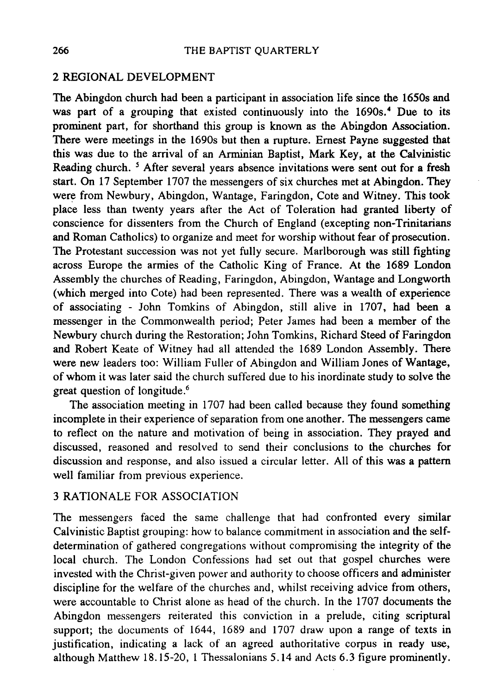#### 2 REGIONAL DEVELOPMENT

The Abingdon church had been a participant in association life since the 1650s and was part of a grouping that existed continuously into the 1690s.<sup>4</sup> Due to its prominent part, for shorthand this group is known as the Abingdon Association. There were meetings in the 1690s but then a rupture. Ernest Payne suggested that this was due to the arrival of an Arminian Baptist, Mark Key, at the Calvinistic Reading church. <sup>5</sup> After several years absence invitations were sent out for a fresh start. On 17 September 1707 the messengers of six churches met at Abingdon. They were from Newbury, Abingdon, Wantage, Faringdon, Cote and Witney. This took place less than twenty years after the Act of Toleration had granted liberty of conscience for dissenters from the Church of England (excepting non-Trinitarians and Roman Catholics) to organize and meet for worship without fear of prosecution. The Protestant succession was not yet fully secure. Marlborough was still fighting across Europe the armies of the Catholic King of France. At the 1689 London Assembly the churches of Reading, Faringdon, Abingdon, Wantage and Longworth (which merged into Cote) had been represented. There was a wealth of experience of associating - John Tornkins of Abingdon, still alive in 1707, had been a messenger in the Commonwealth period; Peter James had been a member of the Newbury church during the Restoration; John Tomkins, Richard Steed of Faringdon and Robert Keate of Witney had all attended the 1689 London Assembly. There were new leaders too: William Fuller of Abingdon and William Jones of Wantage, of whom it was later said the church suffered due to his inordinate study to solve the great question of longitude.6

The association meeting in 1707 had been called because they found something incomplete in their experience of separation from one another. The messengers came to reflect on the nature and motivation of being in association. They prayed and discussed, reasoned and resolved to send their conclusions to the churches for discussion and response, and also issued a circular letter. All of this was a pattern well familiar from previous experience.

# 3 RATIONALE FOR ASSOCIATION

The messengers faced the same challenge that had confronted every similar Calvinistic Baptist grouping: how to balance commitment in association and the selfdetermination of gathered congregations without compromising the integrity of the local church. The London Confessions had set out that gospel churches were invested with the Christ-given power and authority to choose officers and administer discipline for the welfare of the churches and, whilst receiving advice from others, were accountable to Christ alone as head of the church. In the 1707 documents the Abingdon messengers reiterated this conviction in a prelude, citing scriptural support; the documents of 1644, 1689 and 1707 draw upon a range of texts in justification, indicating a lack of an agreed authoritative corpus in ready use, although Matthew 18.15-20, 1 Thessalonians 5.14 and Acts 6.3 figure prominently.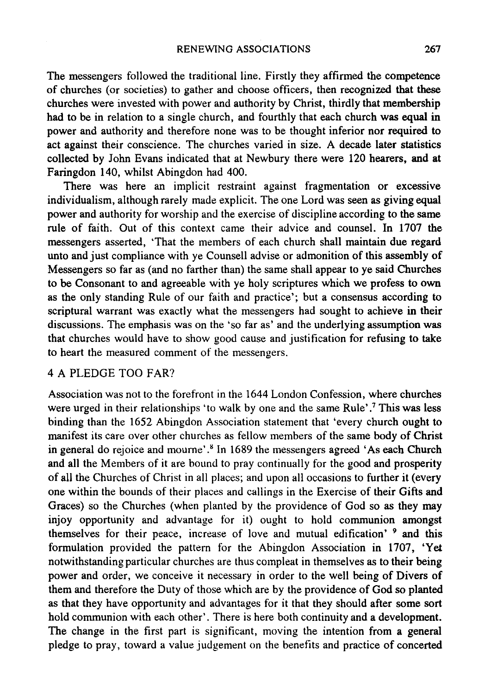The messengers followed the traditional line. Firstly they affirmed the competence of churches (or societies) to gather and choose officers, then recognized that these churches were invested with power and authority by Christ, thirdly that membership had to be in relation to a single church, and fourthly that each church was equal in power and authority and therefore none was to be thought inferior nor required to act against their conscience. The churches varied in size. A decade later statistics collected by John Evans indicated that at Newbury there were 120 hearers, and at Faringdon 140, whilst Abingdon had 400.

There was here an implicit restraint against fragmentation or excessive individualism, although rarely made explicit. The one Lord was seen as giving equal power and authority for worship and the exercise of discipline according to the same rule of faith. Out of this context came their advice and counsel. In 1707 the messengers asserted, 'That the members of each church shall maintain due regard unto and just compliance with ye Counsell advise or admonition of this assembly of Messengers so far as (and no farther than) the same shall appear to ye said Churches to be Consonant to and agreeable with ye holy scriptures which we profess to own as the only standing Rule of our faith and practice'; but a consensus according to scriptural warrant was exactly what the messengers had sought to achieve in their discussions. The emphasis was on the 'so far as' and the underlying assumption was that churches would have to show good cause and justification for refusing to take to heart the measured comment of the messengers.

# 4 A PLEDGE TOO FAR?

Association was not to the forefront in the 1644 London Confession, where churches were urged in their relationships 'to walk by one and the same Rule'.<sup>7</sup> This was less binding than the 1652 Abingdon Association statement that 'every church ought to manifest its care over other churches as fellow members of the same body of Christ in general do rejoice and mourne'.<sup>8</sup> In 1689 the messengers agreed 'As each Church and all the Members of it are bound to pray continually for the good and prosperity of all the Churches of Christ in all places; and upon all occasions to further it (every one within the bounds of their places and callings in the Exercise of their Gifts and Graces) so the Churches (when planted by the providence of God so as they may injoy opportunity and advantage for it) ought to hold communion amongst themselves for their peace, increase of love and mutual edification' 9 and this formulation provided the pattern for the Abingdon Association in 1707, 'Yet notwithstanding particular churches are thus compleat in themselves as to their being power and order, we conceive it necessary in order to the well being of Divers of them and therefore the Duty of those which are by the providence of God so planted as that they have opportunity and advantages for it that they should after some sort hold communion with each other'. There is here both continuity and a development. The change in the first part is significant, moving the intention from a general pledge to pray, toward a value judgement on the benefits and practice of concerted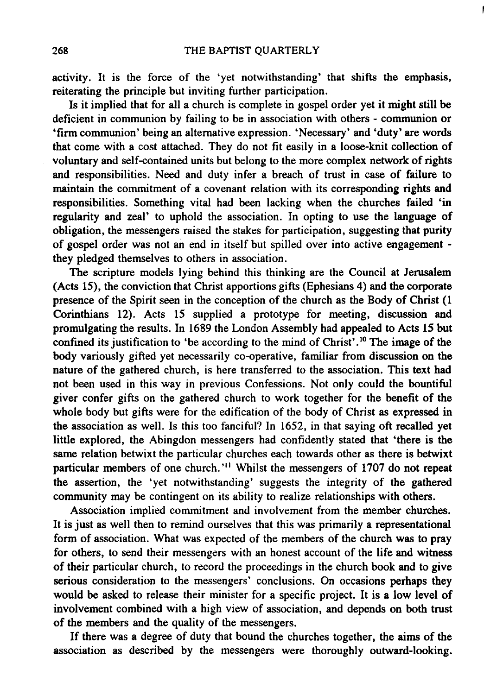activity. It is the force of the 'yet notwithstanding' that shifts the emphasis, reiterating the principle but inviting further participation.

Is it implied that for all a church is complete in gospel order yet it might still be deficient in communion by failing to be in association with others - communion or 'firm communion' being an alternative expression. 'Necessary' and 'duty' are words that come with a cost attached. They do not fit easily in a loose-knit collection of voluntary and self-contained units but belong to the more complex network of rights and responsibilities. Need and duty infer a breach of trust in case of failure to maintain the commitment of a covenant relation with its corresponding rights and responsibilities. Something vital had been lacking when the churches failed 'in regularity and zeal' to uphold the association. In opting to use the language of obligation, the messengers raised the stakes for participation, suggesting that purity of gospel order was not an end in itself but spilled over into active engagement they pledged themselves to others in association.

The scripture models lying behind this thinking are the Council at Jerusalem (Acts 15), the conviction that Christ apportions gifts (Ephesians 4) and the corporate presence of the Spirit seen in the conception of the church as the Body of Christ (1 Corinthians 12). Acts 15 supplied a prototype for meeting, discussion and promulgating the results. In 1689 the London Assembly had appealed to Acts 15 but confined its justification to 'be according to the mind of Christ'.<sup>10</sup> The image of the body variously gifted yet necessarily co-operative, familiar from discussion on the nature of the gathered church, is here transferred to the association. This text had not been used in this way in previous Confessions. Not only could the bountiful giver confer gifts on the gathered church to work together for the benefit of the whole body but gifts were for the edification of the body of Christ as expressed in the association as well. Is this too fanciful? In 1652, in that saying oft recalled yet little explored, the Abingdon messengers had confidently stated that 'there is the same relation betwixt the particular churches each towards other as there is betwixt particular members of one church. '11 Whilst the messengers of 1707 do not repeat the assertion, the 'yet notwithstanding' suggests the integrity of the gathered community may be contingent on its ability to realize relationships with others.

Association implied commitment and involvement from the member churches. It is just as well then to remind ourselves that this was primarily a representational form of association. What was expected of the members of the church was to pray for others, to send their messengers with an honest account of the life and witness of their particular church, to record the proceedings in the church book and to give serious consideration to the messengers' conclusions. On occasions perhaps they would be asked to release their minister for a specific project. It is a low level of involvement combined with a high view of association, and depends on both trust of the members and the quality of the messengers.

If there was a degree of duty that bound the churches together, the aims of the association as described by the messengers were thoroughly outward-looking.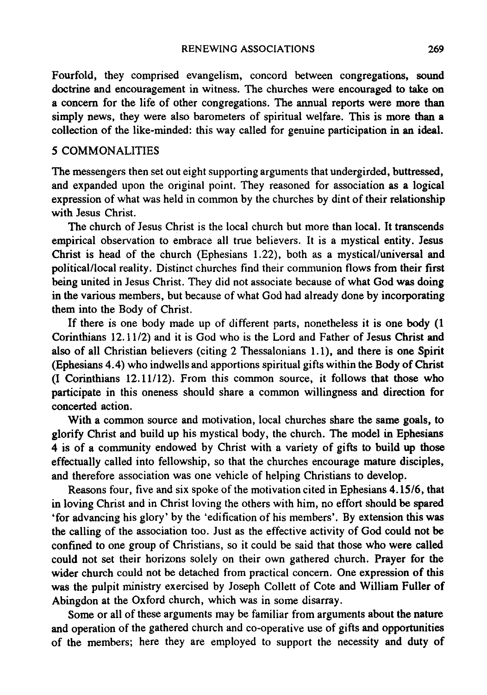Fourfold, they comprised evangelism, concord between congregations, sound doctrine and encouragement in witness. The churches were encouraged to take on a concern for the life of other congregations. The annual reports were more than simply news, they were also barometers of spiritual welfare. This is more than a collection of the like-minded: this way called for genuine participation in an ideal.

#### 5 COMMONALITIES

The messengers then set out eight supporting arguments that undergirded, buttressed, and expanded upon the original point. They reasoned for association as a logical expression of what was held in common by the churches by dint of their relationship with Jesus Christ.

The church of Jesus Christ is the local church but more than local. It transcends empirical observation to embrace all true believers. It is a mystical entity. Jesus Christ is head of the church (Ephesians 1.22), both as a mystical/universal and political/local reality. Distinct churches find their communion flows from their first being united in Jesus Christ. They did not associate because of what God was doing in the various members, but because of what God had already done by incorporating them into the Body of Christ.

If there is one body made up of different parts, nonetheless it is one body (1 Corinthians 12.11/2) and it is God who is the Lord and Father of Jesus Christ and also of all Christian believers (citing 2 Thessalonians 1.1), and there is one Spirit (Ephesians 4.4) who indwells and apportions spiritual gifts within the Body of Christ (I Corinthians 12.11/12). From this common source, it follows that those who participate in this oneness should share a common willingness and direction for concerted action.

With a common source and motivation, local churches share the same goals, to glorify Christ and build up his mystical body, the church. The model in Ephesians 4 is of a community endowed by Christ with a variety of gifts to build up those effectually called into fellowship, so that the churches encourage mature disciples, and therefore association was one vehicle of helping Christians to develop.

Reasons four, five and six spoke of the motivation cited in Ephesians 4.15/6, that in loving Christ and in Christ loving the others with him, no effort should be spared 'for advancing his glory' by the 'edification of his members'. By extension this was the calling of the association too. Just as the effective activity of God could not be confined to one group of Christians, so it could be said that those who were called could not set their horizons solely on their own gathered church. Prayer for the wider church could not be detached from practical concern. One expression of this was the pulpit ministry exercised by Joseph Collett of Cote and William Fuller of Abingdon at the Oxford church, which was in some disarray.

Some or all of these arguments may be familiar from arguments about the nature and operation of the gathered church and co-operative use of gifts and opportunities of the members; here they are employed to support the necessity and duty of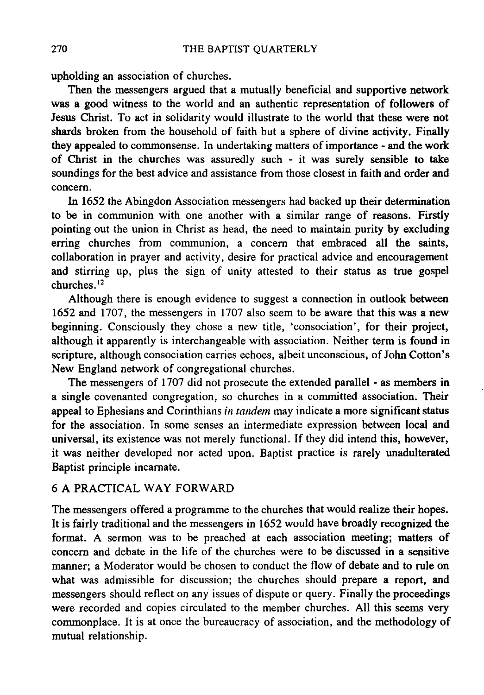upholding an association of churches.

Then the messengers argued that a mutually beneficial and supportive network was a good witness to the world and an authentic representation of followers of Jesus Christ. To act in solidarity would illustrate to the world that these were not shards broken from the household of faith but a sphere of divine activity. Finally they appealed to commonsense. In undertaking matters of importance - and the work of Christ in the churches was assuredly such - it was surely sensible to take soundings for the best advice and assistance from those closest in faith and order and concern.

In 1652 the Abingdon Association messengers had backed up their determination to be in communion with one another with a similar range of reasons. Firstly pointing out the union in Christ as head, the need to maintain purity by excluding erring churches from communion, a concern that embraced all the saints, collaboration in prayer and activity, desire for practical advice and encouragement and stirring up, plus the sign of unity attested to their status as true gospel churches. 12

Although there is enough evidence to suggest a connection in outlook between 1652 and 1707, the messengers in 1707 also seem to be aware that this was a new beginning. Consciously they chose a new title, 'consociation', for their project, although it apparently is interchangeable with association. Neither term is found in scripture, although consociation carries echoes, albeit unconscious, of John Cotton's New England network of congregational churches.

The messengers of 1707 did not prosecute the extended parallel - as members in a single covenanted congregation, so churches in a committed association. Their appeal to Ephesians and Corinthians *in tandem* may indicate a more significant status for the association. In some senses an intermediate expression between local and universal, its existence was not merely functional. If they did intend this, however, it was neither developed nor acted upon. Baptist practice is rarely unadulterated Baptist principle incarnate.

# 6 A PRACTICAL WAY FORWARD

The messengers offered a programme to the churches that would realize their hopes. It is fairly traditional and the messengers in 1652 would have broadly recognized the format. A sermon was to be preached at each association meeting; matters of concern and debate in the life of the churches were to be discussed in a sensitive manner; a Moderator would be chosen to conduct the flow of debate and to rule on what was admissible for discussion; the churches should prepare a report, and messengers should reflect on any issues of dispute or query. Finally the proceedings were recorded and copies circulated to the member churches. All this seems very commonplace. It is at once the bureaucracy of association, and the methodology of mutual relationship.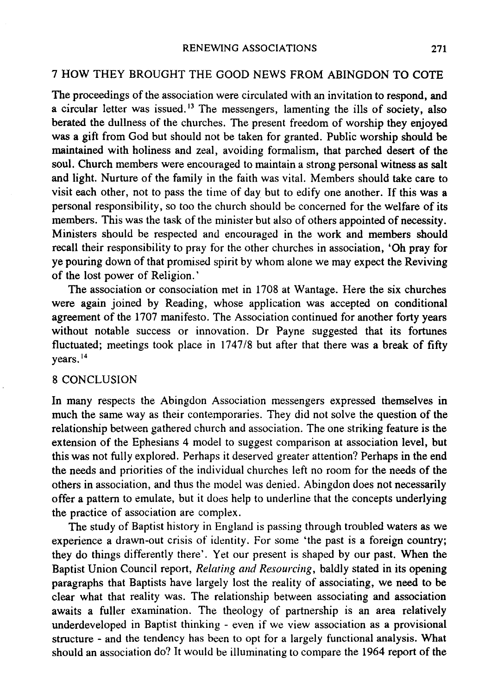# 7 HOW THEY BROUGHT THE GOOD NEWS FROM ABINGDON TO COTE

The proceedings of the association were circulated with an invitation to respond, and a circular letter was issued.<sup>13</sup> The messengers, lamenting the ills of society, also berated the dullness of the churches. The present freedom of worship they enjoyed was a gift from God but should not be taken for granted. Public worship should be maintained with holiness and zeal, avoiding formalism, that parched desert of the soul. Church members were encouraged to maintain a strong personal witness as salt and light. Nurture of the family in the faith was vital. Members should take care to visit each other, not to pass the time of day but to edify one another. If this was a personal responsibility, so too the church should be concerned for the welfare of its members. This was the task of the minister but also of others appointed of necessity. Ministers should be respected and encouraged in the work and members should recall their responsibility to pray for the other churches in association, 'Oh pray for ye pouring down of that promised spirit by whom alone we may expect the Reviving of the lost power of Religion. '

The association or consociation met in 1708 at Wantage. Here the six churches were again joined by Reading, whose application was accepted on conditional agreement of the 1707 manifesto. The Association continued for another forty years without notable success or innovation. Dr Payne suggested that its fortunes fluctuated; meetings took place in 1747/8 but after that there was a break of fifty years. 14

### 8 CONCLUSION

In many respects the Abingdon Association messengers expressed themselves in much the same way as their contemporaries. They did not solve the question of the relationship between gathered church and association. The one striking feature is the extension of the Ephesians 4 model to suggest comparison at association level, but this was not fully explored. Perhaps it deserved greater attention? Perhaps in the end the needs and priorities of the individual churches left no room for the needs of the others in association, and thus the model was denied. Abingdon does not necessarily offer a pattern to emulate, but it does help to underline that the concepts underlying the practice of association are complex.

The study of Baptist history in England is passing through troubled waters as we experience a drawn-out crisis of identity. For some 'the past is a foreign country; they do things differently there'. Yet our present is shaped by our past. When the Baptist Union Council report, *Relating and Resourcing,* baldly stated in its opening paragraphs that Baptists have largely lost the reality of associating, we need to be clear what that reality was. The relationship between associating and association awaits a fuller examination. The theology of partnership is an area relatively underdeveloped in Baptist thinking - even if we view association as a provisional structure - and the tendency has been to opt for a largely functional analysis. What should an association do? It would be illuminating to compare the 1964 report of the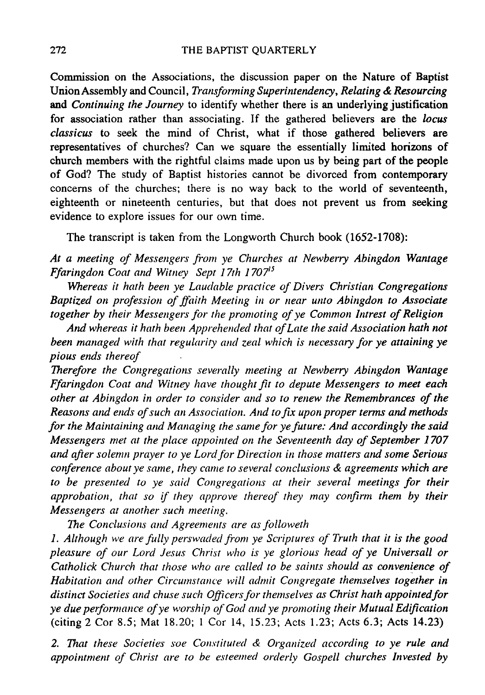Commission on the Associations, the discussion paper on the Nature of Baptist Union Assembly and Council, *Transforming Superintendency, Relating* & *Resourcing*  and *Continuing the Journey* to identify whether there is an underlying justification for association rather than associating. If the gathered believers are the *locus classicus* to seek the mind of Christ, what if those gathered believers are representatives of churches? Can we square the essentially limited horizons of church members with the rightful claims made upon us by being part of the people of God? The study of Baptist histories cannot be divorced from contemporary concerns of the churches; there is no way back to the world of seventeenth, eighteenth or nineteenth centuries, but that does not prevent us from seeking evidence to explore issues for our own time.

The transcript is taken from the Longworth Church book (1652-1708):

*At a meeting of Messengers from ye Churches at Newberry Abingdon Wantage Ffaringdon Coat and Wiwey Sept 17th 1707*<sup>15</sup>

*Whereas it hath been ye Laudable practice of Divers Christian Congregations Baptized on profession of ffaith Meeting in or near unto Abingdon to Associate together by their Messengers for the promoting of ye Common Intrest of Religion* 

*And whereas it hath been Apprehended that of Late the said Association hath not been managed with that regularity and zeal which is necessary for ye attaining ye pious ends thereof* 

*Therefore the Congregations severally meeting at Newberry Abingdon Wantage Ffaringdon Coat and Witney have thought fit to depute Messengers to meet each other at Abingdon* in *order to consider and so to renew the Remembrances of the Reasons and ends of such an Association. And to fix upon proper terms and methods*  for the Maintaining and Managing the same for ye future: And accordingly the said *Messengers met at the place appointed on the Seventeenth day of September 1707 and after solemn prayer to ye Lordfor Direction in those matters and some Serious conference about ye same, they came to several conclusions* & *agreements which are*  to be presented to ye said Congregations at their several meetings for their *approbation, that so if they approve thereof they may confirm them by their Messengers at another such meeting.* 

The *Conclusions and Agreements are as followeth* 

*1. Although we are fully perswaded from ye Scriptures of Truth that it is the good pleasure of our Lord Jesus Christ who is ye glorious head of ye Universall or Catholick Church that those who are called to be saints should as convenience of Habitation and other Circumstance will admit Congregate themselves together in distinct Societies and chuse such Officersfor themselves as Christ hath appointedfor ye due peiformance of ye worship of God and ye promoting their Mutual Edification*  (citing 2 Cor 8.5; Mat 18.20; 1 Cor 14, 15.23; Acts 1.23; Acts 6.3; Acts 14.23)

2. That these Societies soe Constituted & Organized according to ye rule and *appointment of Christ are to be esteemed orderly Gospell churches Invested by*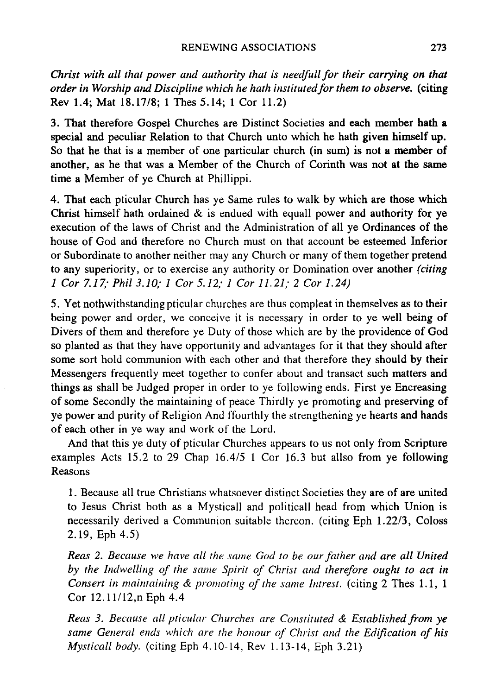*Christ with all that power and authority that is needfull for their carrying on that order in Worship and Discipline which he hath institutedfor them to observe.* (citing Rev 1.4; Mat 18.17/8; 1 Thes 5.14; 1 Cor 11.2)

3. That therefore Gospel Churches are Distinct Societies and each member hath a special and peculiar Relation to that Church unto which he hath given himself up. So that he that is a member of one particular church (in sum) is not a member of another, as he that was a Member of the Church of Corinth was not at the same time a Member of ye Church at Phillippi.

4. That each pticular Church has ye Same rules to walk by which are those which Christ himself hath ordained & is endued with equall power and authority for ye execution of the laws of Christ and the Administration of all ye Ordinances of the house of God and therefore no Church must on that account be esteemed Inferior or Subordinate to another neither may any Church or many of them together pretend to any superiority, or to exercise any authority or Domination over another *(citing 1 Cor* 7.17; *Phil3.1O;* 1 *Cor* 5.12; 1 *Cor* 11.21; 2 *Cor 1.24)* 

5. Yet nothwithstanding pticular churches are thus compleat in themselves as to their being power and order, we conceive it is necessary in order to ye well being of Divers of them and therefore ye Duty of those which are by the providence of God so planted as that they have opportunity and advantages for it that they should after some sort hold communion with each other and that therefore they should by their Messengers frequently meet together to confer about and transact such matters and things as shall be Judged proper in order to ye following ends. First ye Encreasing of some Secondly the maintaining of peace Thirdly ye promoting and preserving of ye power and purity of Religion And ffourthly the strengthening ye hearts and hands of each other in ye way and work of the Lord.

And that this ye duty of pticular Churches appears to us not only from Scripture examples Acts 15.2 to 29 Chap  $16.4/5$  1 Cor 16.3 but allso from ye following Reasons

1. Because all true Christians whatsoever distinct Societies they are of are united to Jesus Christ both as a Mysticall and politicall head from which Union is necessarily derived a Conununion suitable thereon. (citing Eph *1.22/3,* Coloss 2.19, Eph 4.5)

*Reas* 2. *Because we have all the same God to be our father and are all United by the Indwelling of the same Spirit of Chrisr and therefore ought to act in Consert in maintaining & promoting of the same Intrest.* (citing 2 Thes 1.1, 1) Cor 12.11/12,n Eph 4.4

*Reas* 3. *Because all pticular Churches are Consrituted* & *Established from ye same General ends which are the honour of Christ and the Edification of his Mysticall body.* (citing Eph 4.10-14, Rev 1.13-14, Eph 3.21)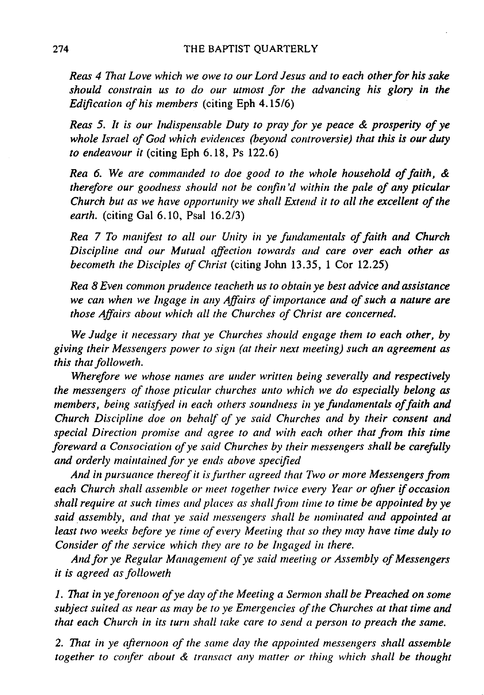*Reas* 4 *That Love which we owe to our Lord Jesus and to each other for his sake should constrain us to do our utmost for the advancing his glory in the Edification of his members* (citing Eph *4.1516)* 

*Reas* 5. *It is our Indispensable Duty to pray for ye peace* & *prosperity of ye*  whole Israel of God which evidences (beyond controversie) that this is our duty *to endeavour it* (citing Eph 6.18, Ps 122.6)

*Rea* 6. *We are commanded to doe good to the whole household of faith,* & *therefore our goodness should not be confin'd within the pale of any pticular Church but as we have opportunity we shall Extend it to all the excellent of the earth.* (citing Gal 6.10, Psal 16.2/3)

*Rea* 7 *To manifest to all our Unity in ye fundamentals of faith and Church Discipline and our Mutual affection towards and care over each other as becometh the Disciples of Christ* (citing John 13.35, 1 Cor 12.25)

*Rea* 8 *Even common prudence teacheth us to obtain ye best advice and assistance we can when we Ingage in any Affairs of importance and of such a nature are those Affairs about which all the Churches of Christ are concerned.* 

*We Judge it necessary that ye Churches should engage them to each other, by giving their Messengers power* to *sign (at their next meeting) such an agreement as this that followeth.* 

*Wherefore we whose names are under written being severally and respectively the messengers of those pticular churches unto which we do especially belong as*  members, being satisfyed in each others soundness in ye fundamentals of faith and *Church Discipline doe on behalf 0/ ye said Churches and by their consent and special Direction promise and agree to and with each other that from this time foreward a Consociation of ye said Churches by their messengers shall be carefully*  and orderly maintained for ye ends above specified

*And in pursuance thereof it is further agreed that Two or more Messengers from each Church shall assemble or meet together twice every Year or ofner if occasion shall require at such times and places as shall from time to time be appointed by ye said assembly, and that ye said messengers shall be nominated and appointed at least two weeks before ye time of every Meeting that so they may have time duly to Consider of the service which they are to be Ingaged in there.* 

*And for ye Regular Management of ye said meeting or Assembly of Messengers it is agreed as followeth* 

1. *That in ye forenoon of ye day of the Meeting a Sermon shall be Preached on some subject suited as near as may be to ye Emergencies of the Churches at that time and that each Church in its turn shall take care to send a person to preach the same.* 

2. That in ye afternoon of the same day the appointed messengers shall assemble *together to confer about & transact any matter or thing which shall be thought*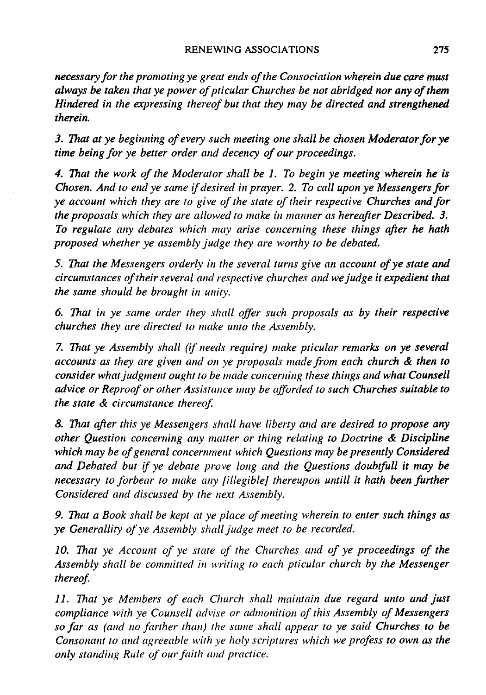*necessary for the promoting ye great ends of the Consociation wherein due care must*  always be taken that ye power of pticular Churches be not abridged nor any of them *Hindered in the expressing thereof but that they may be directed and strengthened therein.* 

*3. That at ye beginning of every such meeting one shall be chosen Moderator for ye time being for ye better order and decency of our proceedings.* 

*4. That the work of the Moderator shall be* 1. *To begin ye meeting wherein he is Chosen. And to end ye same if desired in prayer.* 2. *To call upon ye Messengers for ye account which they are to give of the state of their respective Churches and for the proposals which they are allowed to make in manner as hereafter Described. 3.* To regulate any debates which may arise concerning these things after he hath *proposed whether ye assembly judge they are worthy to be debated.* 

5. That the Messengers orderly in the several turns give an account of ye state and *circumstances of their several and respective churches and we judge it expedient that the same should be brought in unity.* 

*6. That* in *ye same order they shall offer such proposals as by their respective churches they are directed to make unto the Assembly,* 

*7. That ye Assembly shall (if needs require) make pticular remarks on ye several accoullls as they are given and* 011 *ye proposals made from each church* & *then to consider what judgment ought to be made concerning these things and what Counsell advice or Reproof or other Assistance may be afforded to such Churches suitable to the state* & *circumstance thereof* 

*8. That after this ye Messengers shall have liberty and are desired to propose any other Question concerning any matter or thing relating to Doctrine* & *Discipline*  which may be of general concernment which Questions may be presently Considered *and Debated but if ye debate prove 101lg and the Questions doubtfull it may be necessary to forbear to make any [illegible] thereupon untill it hath been further Considered and discussed by the next Assembly.* 

*9. That a Book shall be kept at ye place of meeting wherein to enter such things as ye Generallity of ye Assembly shall judge meet to be recorded.* 

10. That *ye Account of ye state of the Churches and of ye proceedings of the Assembly shall be committed in writing to each pticular church by the Messenger thereof* 

11. *That ye Members of each Church shall maintain due regard unto and just compliance with ye Counsell advise or admonition of this Assembly of Messengers so far as (and 110 farther than) the same shall appear* to *ye said Churches to be Consonant to and agreeable with ye holy scriptures which we profess to own as the*   $only$  standing Rule of our faith and practice.